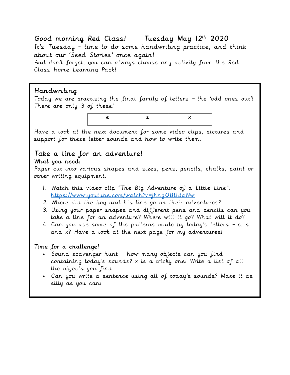### Good morning Red Class! Tuesday May 12th 2020

It's Tuesday - time to do some handwriting practice, and think about our 'Seed Stories' once again! And don't forget, you can always choose any activity from the Red Class Home Learning Pack!

### Handwriting

Today we are practising the final family of letters – the 'odd ones out'!. There are only 3 of these!



Have a look at the next document for some video clips, pictures and support for these letter sounds and how to write them.

### Take a line for an adventure! What you need:

Paper cut into various shapes and sizes, pens, pencils, chalks, paint or other writing equipment.

- 1. Watch this video clip "The Big Adventure of a Little Line", <https://www.youtube.com/watch?v=jhngQBUBaNw>
- 2. Where did the boy and his line go on their adventures?
- 3. Using your paper shapes and different pens and pencils can you take a line for an adventure? Where will it go? What will it do?
- 4. Can you use some of the patterns made by today's letters  $-$  e, s and x? Have a look at the next page for my adventures!

### Time for a challenge!

- Sound scavenger hunt how many objects can you find containing today's sounds? x is a tricky one! Write a list of all the objects you find.
- Can you write a sentence using all of today's sounds? Make it as silly as you can!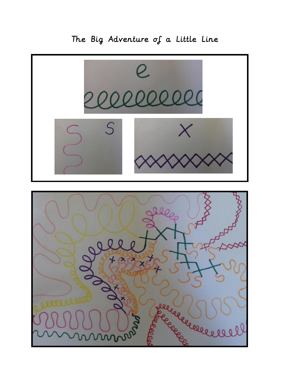# $\varsigma$ selecce SSS  $\overline{\mathcal{S}}$

# The Big Adventure of a Little Line

 $\overline{a}$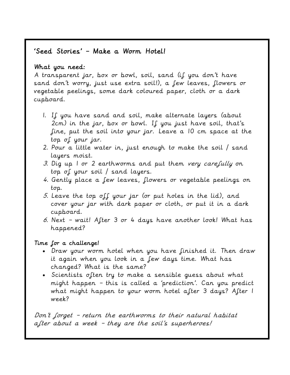### 'Seed Stories' – Make a Worm Hotel!

### What you need:

A transparent jar, box or bowl, soil, sand (if you don't have sand don't worry, just use extra soil!), a few leaves, flowers or vegetable peelings, some dark coloured paper, cloth or a dark cupboard.

- 1. If you have sand and soil, make alternate layers (about 2cm) in the jar, box or bowl. If you just have soil, that's fine, put the soil into your jar. Leave a 10 cm space at the top of your jar.
- 2. Pour a little water in, just enough to make the soil / sand layers moist.
- 3. Dig up I or 2 earthworms and put them very carefully on top of your soil / sand layers.
- 4. Gently place a few leaves, flowers or vegetable peelings on top.
- 5. Leave the top off your jar (or put holes in the lid), and cover your jar with dark paper or cloth, or put it in a dark cupboard.
- 6. Next wait! After 3 or 4 days have another look! What has happened?

### Time for a challenge!

- Draw your worm hotel when you have finished it. Then draw it again when you look in a few days time. What has changed? What is the same?
- Scientists often try to make a sensible guess about what might happen – this is called a 'prediction'. Can you predict what might happen to your worm hotel after 3 days? After 1 week?

Don't forget – return the earthworms to their natural habitat after about a week - they are the soil's superheroes!